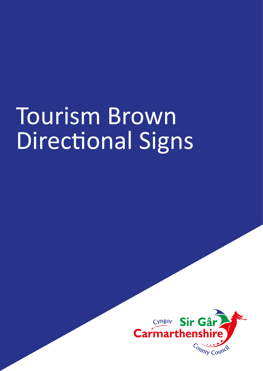# Tourism Brown Directional Signs

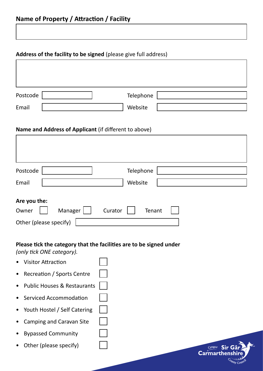#### **Address of the facility to be signed** (please give full address)

| Postcode | Telephone |  |
|----------|-----------|--|
| Email    | Website   |  |

#### **Name and Address of Applicant** (if different to above)

| Postcode                    | Telephone |
|-----------------------------|-----------|
|                             |           |
| Email                       | Website   |
|                             |           |
| Are you the:                |           |
| Manager<br>Owner<br>Curator | Tenant    |
| Other (please specify)      |           |

Cyngor Sir C **Carmarthens** 

## **Please tick the category that the facilities are to be signed under**

*(only tick ONE category).*

- Visitor Attraction
- Recreation / Sports Centre
- Public Houses & Restaurants
- Serviced Accommodation
- Youth Hostel / Self Catering
- Camping and Caravan Site
- Bypassed Community
- Other (please specify)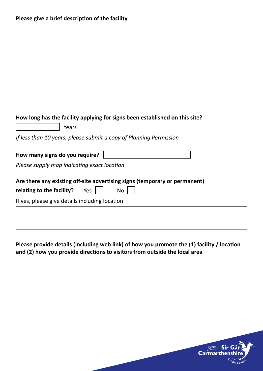| How long has the facility applying for signs been established on this site? |  |  |
|-----------------------------------------------------------------------------|--|--|
|-----------------------------------------------------------------------------|--|--|

| Years                                                                      |                                                                    |  |  |
|----------------------------------------------------------------------------|--------------------------------------------------------------------|--|--|
|                                                                            | If less than 10 years, please submit a copy of Planning Permission |  |  |
| How many signs do you require?                                             |                                                                    |  |  |
|                                                                            |                                                                    |  |  |
| Please supply map indicating exact location                                |                                                                    |  |  |
|                                                                            |                                                                    |  |  |
| Are there any existing off-site advertising signs (temporary or permanent) |                                                                    |  |  |
| relating to the facility?<br>Yes                                           | No                                                                 |  |  |
| If yes, please give details including location                             |                                                                    |  |  |
|                                                                            |                                                                    |  |  |
|                                                                            |                                                                    |  |  |
|                                                                            |                                                                    |  |  |

**Please provide details (including web link) of how you promote the (1) facility / location and (2) how you provide directions to visitors from outside the local area**

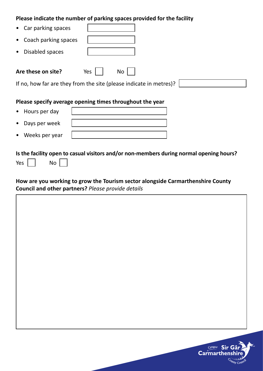#### **Please indicate the number of parking spaces provided for the facility**

| Car parking spaces<br>$\bullet$   |                                                                                 |
|-----------------------------------|---------------------------------------------------------------------------------|
| Coach parking spaces<br>$\bullet$ |                                                                                 |
| Disabled spaces<br>$\bullet$      |                                                                                 |
| Are these on site?                | No<br>Yes<br>If no, how far are they from the site (please indicate in metres)? |
|                                   | Please specify average opening times throughout the year                        |
| Hours per day<br>$\bullet$        |                                                                                 |

| • Days per week  |  |
|------------------|--|
| • Weeks per year |  |

### **Is the facility open to casual visitors and/or non-members during normal opening hours?**

| Υρς |  | No |
|-----|--|----|
|-----|--|----|

#### **How are you working to grow the Tourism sector alongside Carmarthenshire County Council and other partners?** *Please provide details*



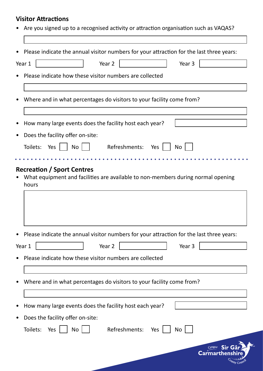## **Visitor Attractions**

|        | Are you signed up to a recognised activity or attraction organisation such as VAQAS?     |
|--------|------------------------------------------------------------------------------------------|
|        |                                                                                          |
|        | Please indicate the annual visitor numbers for your attraction for the last three years: |
| Year 1 | Year 2<br>Year 3                                                                         |
|        | Please indicate how these visitor numbers are collected                                  |
|        |                                                                                          |
|        | Where and in what percentages do visitors to your facility come from?                    |
|        |                                                                                          |
|        | How many large events does the facility host each year?                                  |
|        | Does the facility offer on-site:                                                         |
|        | Toilets: Yes    <br>$No$    <br>Refreshments: Yes  <br><b>No</b>                         |
|        |                                                                                          |
|        |                                                                                          |
|        | Please indicate the annual visitor numbers for your attraction for the last three years: |
| Year 1 | Year 2<br>Year 3                                                                         |
|        | Please indicate how these visitor numbers are collected                                  |
|        |                                                                                          |
|        | Where and in what percentages do visitors to your facility come from?                    |
|        |                                                                                          |
|        | How many large events does the facility host each year?                                  |
|        | Does the facility offer on-site:                                                         |
|        | Toilets:<br>Refreshments: Yes<br>No<br>Yes<br>No                                         |
|        | Cyngor Sir<br><b>Carmarthens</b>                                                         |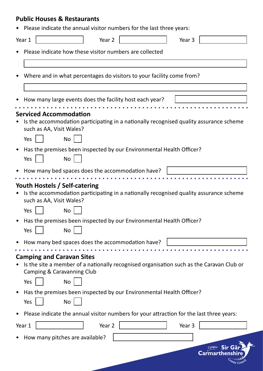## **Public Houses & Restaurants**

|  | • Please indicate the annual visitor numbers for the last three years: |  |  |  |  |  |  |
|--|------------------------------------------------------------------------|--|--|--|--|--|--|
|--|------------------------------------------------------------------------|--|--|--|--|--|--|

| Year 1 |     |                                  | Year 2            |                                                                                          | Year 3 |                                                                                          |
|--------|-----|----------------------------------|-------------------|------------------------------------------------------------------------------------------|--------|------------------------------------------------------------------------------------------|
|        |     |                                  |                   | Please indicate how these visitor numbers are collected                                  |        |                                                                                          |
|        |     |                                  |                   |                                                                                          |        |                                                                                          |
|        |     |                                  |                   | Where and in what percentages do visitors to your facility come from?                    |        |                                                                                          |
|        |     |                                  |                   | How many large events does the facility host each year?                                  |        |                                                                                          |
|        |     | <b>Serviced Accommodation</b>    |                   |                                                                                          |        |                                                                                          |
|        |     | such as AA, Visit Wales?         |                   |                                                                                          |        | Is the accommodation participating in a nationally recognised quality assurance scheme   |
|        | Yes | <b>No</b>                        |                   |                                                                                          |        |                                                                                          |
|        | Yes | <b>No</b>                        |                   | Has the premises been inspected by our Environmental Health Officer?                     |        |                                                                                          |
|        |     |                                  |                   | How many bed spaces does the accommodation have?                                         |        |                                                                                          |
|        |     |                                  |                   |                                                                                          |        |                                                                                          |
|        |     | Youth Hostels / Self-catering    |                   |                                                                                          |        | Is the accommodation participating in a nationally recognised quality assurance scheme   |
|        |     | such as AA, Visit Wales?         |                   |                                                                                          |        |                                                                                          |
|        | Yes | <b>No</b>                        |                   |                                                                                          |        |                                                                                          |
|        | Yes | <b>No</b>                        |                   | Has the premises been inspected by our Environmental Health Officer?                     |        |                                                                                          |
|        |     |                                  |                   | How many bed spaces does the accommodation have?                                         |        |                                                                                          |
|        |     |                                  |                   |                                                                                          |        |                                                                                          |
|        |     | <b>Camping and Caravan Sites</b> |                   |                                                                                          |        |                                                                                          |
|        |     | Camping & Caravanning Club       |                   |                                                                                          |        | Is the site a member of a nationally recognised organisation such as the Caravan Club or |
|        | Yes | <b>No</b>                        |                   |                                                                                          |        |                                                                                          |
|        |     |                                  |                   | Has the premises been inspected by our Environmental Health Officer?                     |        |                                                                                          |
|        | Yes | <b>No</b>                        |                   |                                                                                          |        |                                                                                          |
|        |     |                                  |                   | Please indicate the annual visitor numbers for your attraction for the last three years: |        |                                                                                          |
| Year 1 |     |                                  | Year <sub>2</sub> |                                                                                          | Year 3 |                                                                                          |
|        |     | How many pitches are available?  |                   |                                                                                          |        |                                                                                          |
|        |     |                                  |                   |                                                                                          |        | Cyngor<br>Sir G                                                                          |
|        |     |                                  |                   |                                                                                          |        | <b>Carmarthenshir</b>                                                                    |
|        |     |                                  |                   |                                                                                          |        |                                                                                          |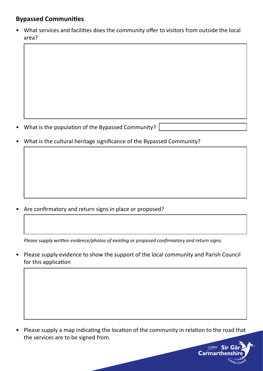## **Bypassed Communities**

• What services and facilities does the community offer to visitors from outside the local area?

- What is the population of the Bypassed Community?
- What is the cultural heritage significance of the Bypassed Community?

• Are confirmatory and return signs in place or proposed?

*Please supply written evidence/photos of existing or proposed confirmatory and return signs.* 

• Please supply evidence to show the support of the local community and Parish Council for this application

• Please supply a map indicating the location of the community in relation to the road that the services are to be signed from.

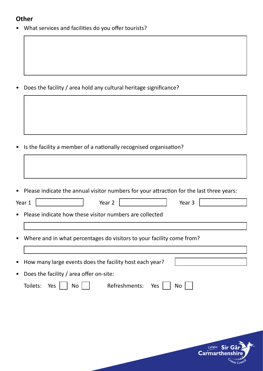#### **Other**

• What services and facilities do you offer tourists?

• Does the facility / area hold any cultural heritage significance?

• Is the facility a member of a nationally recognised organisation?

|  | • Please indicate the annual visitor numbers for your attraction for the last three years: |  |  |  |
|--|--------------------------------------------------------------------------------------------|--|--|--|
|--|--------------------------------------------------------------------------------------------|--|--|--|

| Year 1    | Year <sub>2</sub><br>Year 3                                           |
|-----------|-----------------------------------------------------------------------|
| $\bullet$ | Please indicate how these visitor numbers are collected               |
|           |                                                                       |
| $\bullet$ | Where and in what percentages do visitors to your facility come from? |
|           |                                                                       |

| • How many large events does the facility host each year? |  |
|-----------------------------------------------------------|--|
| • Does the facility / area offer on-site:                 |  |

|  | Toilets: Yes $\Box$ No $\Box$ | Refreshments: Yes No |  |
|--|-------------------------------|----------------------|--|